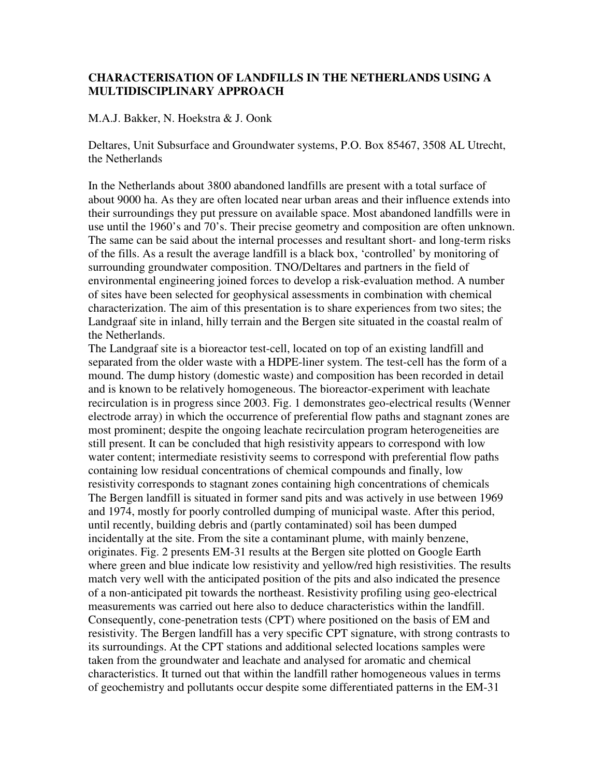## **CHARACTERISATION OF LANDFILLS IN THE NETHERLANDS USING A MULTIDISCIPLINARY APPROACH**

## M.A.J. Bakker, N. Hoekstra & J. Oonk

Deltares, Unit Subsurface and Groundwater systems, P.O. Box 85467, 3508 AL Utrecht, the Netherlands

In the Netherlands about 3800 abandoned landfills are present with a total surface of about 9000 ha. As they are often located near urban areas and their influence extends into their surroundings they put pressure on available space. Most abandoned landfills were in use until the 1960's and 70's. Their precise geometry and composition are often unknown. The same can be said about the internal processes and resultant short- and long-term risks of the fills. As a result the average landfill is a black box, 'controlled' by monitoring of surrounding groundwater composition. TNO/Deltares and partners in the field of environmental engineering joined forces to develop a risk-evaluation method. A number of sites have been selected for geophysical assessments in combination with chemical characterization. The aim of this presentation is to share experiences from two sites; the Landgraaf site in inland, hilly terrain and the Bergen site situated in the coastal realm of the Netherlands.

The Landgraaf site is a bioreactor test-cell, located on top of an existing landfill and separated from the older waste with a HDPE-liner system. The test-cell has the form of a mound. The dump history (domestic waste) and composition has been recorded in detail and is known to be relatively homogeneous. The bioreactor-experiment with leachate recirculation is in progress since 2003. Fig. 1 demonstrates geo-electrical results (Wenner electrode array) in which the occurrence of preferential flow paths and stagnant zones are most prominent; despite the ongoing leachate recirculation program heterogeneities are still present. It can be concluded that high resistivity appears to correspond with low water content; intermediate resistivity seems to correspond with preferential flow paths containing low residual concentrations of chemical compounds and finally, low resistivity corresponds to stagnant zones containing high concentrations of chemicals The Bergen landfill is situated in former sand pits and was actively in use between 1969 and 1974, mostly for poorly controlled dumping of municipal waste. After this period, until recently, building debris and (partly contaminated) soil has been dumped incidentally at the site. From the site a contaminant plume, with mainly benzene, originates. Fig. 2 presents EM-31 results at the Bergen site plotted on Google Earth where green and blue indicate low resistivity and yellow/red high resistivities. The results match very well with the anticipated position of the pits and also indicated the presence of a non-anticipated pit towards the northeast. Resistivity profiling using geo-electrical measurements was carried out here also to deduce characteristics within the landfill. Consequently, cone-penetration tests (CPT) where positioned on the basis of EM and resistivity. The Bergen landfill has a very specific CPT signature, with strong contrasts to its surroundings. At the CPT stations and additional selected locations samples were taken from the groundwater and leachate and analysed for aromatic and chemical characteristics. It turned out that within the landfill rather homogeneous values in terms of geochemistry and pollutants occur despite some differentiated patterns in the EM-31